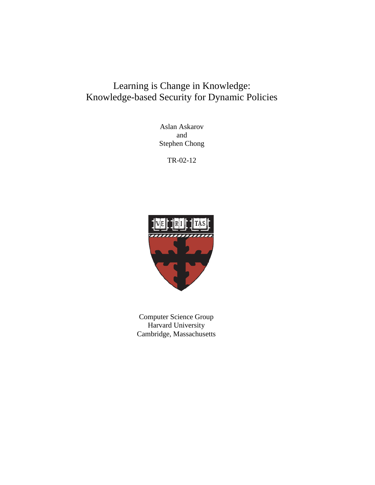# Learning is Change in Knowledge: Knowledge-based Security for Dynamic Policies

Aslan Askarov and Stephen Chong

TR-02-12



Computer Science Group Harvard University Cambridge, Massachusetts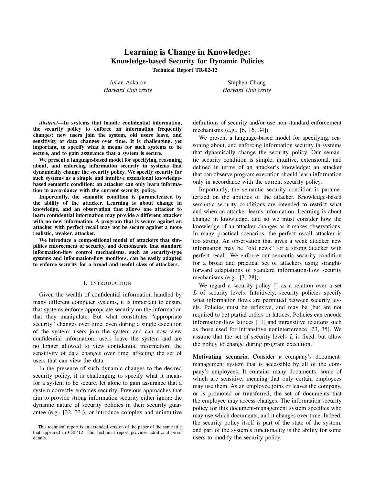# Learning is Change in Knowledge: Knowledge-based Security for Dynamic Policies

Technical Report TR-02-12

Aslan Askarov *Harvard University*

Stephen Chong *Harvard University*

*Abstract*—In systems that handle confidential information, the security policy to enforce on information frequently changes: new users join the system, old users leave, and sensitivity of data changes over time. It is challenging, yet important, to specify what it means for such systems to be secure, and to gain assurance that a system is secure.

We present a language-based model for specifying, reasoning about, and enforcing information security in systems that dynamically change the security policy. We specify security for such systems as a simple and intuitive extensional knowledgebased semantic condition: an attacker can only learn information in accordance with the current security policy.

Importantly, the semantic condition is parameterized by the ability of the attacker. Learning is about change in knowledge, and an observation that allows one attacker to learn confidential information may provide a different attacker with no new information. A program that is secure against an attacker with perfect recall may not be secure against a more realistic, weaker, attacker.

We introduce a compositional model of attackers that simplifies enforcement of security, and demonstrate that standard information-flow control mechanisms, such as security-type systems and information-flow monitors, can be easily adapted to enforce security for a broad and useful class of attackers.

## I. INTRODUCTION

Given the wealth of confidential information handled by many different computer systems, it is important to ensure that systems enforce appropriate security on the information that they manipulate. But what constitutes "appropriate security" changes over time, even during a single execution of the system: users join the system and can now view confidential information; users leave the system and are no longer allowed to view confidential information; the sensitivity of data changes over time, affecting the set of users that can view the data.

In the presence of such dynamic changes to the desired security policy, it is challenging to specify what it means for a system to be secure, let alone to gain assurance that a system correctly enforces security. Previous approaches that aim to provide strong information security either ignore the dynamic nature of security policies in their security guarantee (e.g., [32, 33]), or introduce complex and unintuitive definitions of security and/or use non-standard enforcement mechanisms (e.g., [6, 16, 34]).

We present a language-based model for specifying, reasoning about, and enforcing information security in systems that dynamically change the security policy. Our semantic security condition is simple, intuitive, extensional, and defined in terms of an attacker's knowledge: an attacker that can observe program execution should learn information only in accordance with the current security policy.

Importantly, the semantic security condition is parameterized on the abilities of the attacker. Knowledge-based semantic security conditions are intended to restrict what and when an attacker learns information. Learning is about change in knowledge, and so we must consider how the knowledge of an attacker changes as it makes observations. In many practical scenarios, the perfect recall attacker is too strong. An observation that gives a weak attacker new information may be "old news" for a strong attacker with perfect recall. We enforce our semantic security condition for a broad and practical set of attackers using straightforward adaptations of standard information-flow security mechanisms (e.g., [3, 28]).

We regard a security policy  $\subseteq$  as a relation over a set  $L$  of security levels. Intuitively, security policies specify what information flows are permitted between security levels. Policies must be reflexive, and may be (but are not required to be) partial orders or lattices. Policies can encode information-flow lattices [11] and intransitive relations such as those used for intransitive noninterference [23, 35]. We assume that the set of security levels  $L$  is fixed, but allow the policy to change during program execution.

Motivating scenario. Consider a company's documentmanagement system that is accessible by all of the company's employees. It contains many documents, some of which are sensitive, meaning that only certain employees may use them. As an employee joins or leaves the company, or is promoted or transferred, the set of documents that the employee may access changes. The information security policy for this document-management system specifies who may use which documents, and it changes over time. Indeed, the security policy itself is part of the state of the system, and part of the system's functionality is the ability for some users to modify the security policy.

This technical report is an extended version of the paper of the same title that appeared in CSF'12. This technical report provides additional proof details.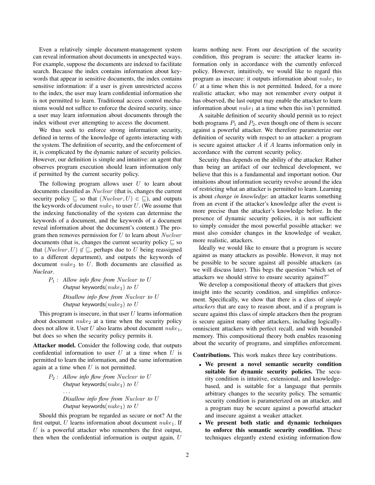Even a relatively simple document-management system can reveal information about documents in unexpected ways. For example, suppose the documents are indexed to facilitate search. Because the index contains information about keywords that appear in sensitive documents, the index contains sensitive information: if a user is given unrestricted access to the index, the user may learn confidential information she is not permitted to learn. Traditional access control mechanisms would not suffice to enforce the desired security, since a user may learn information about documents through the index without ever attempting to access the document.

We thus seek to enforce strong information security, defined in terms of the knowledge of agents interacting with the system. The definition of security, and the enforcement of it, is complicated by the dynamic nature of security policies. However, our definition is simple and intuitive: an agent that observes program execution should learn information only if permitted by the current security policy.

The following program allows user  $U$  to learn about documents classified as Nuclear (that is, changes the current security policy  $\subseteq$  so that  $(Nuclear, U) \in \subseteq$ ), and outputs the keywords of document  $nuke_1$  to user U. (We assume that the indexing functionality of the system can determine the keywords of a document, and the keywords of a document reveal information about the document's content.) The program then removes permission for  $U$  to learn about  $Nuclear$ documents (that is, changes the current security policy  $\Box$  so that  $(Nuclear, U) \notin \sqsubseteq$ , perhaps due to U being reassigned to a different department), and outputs the keywords of document  $nuke_2$  to  $U$ . Both documents are classified as *Nuclear*.

> P<sup>1</sup> : *Allow info flow from* Nuclear *to* U *Output* keywords $(nuke_1)$  *to* U *Disallow info flow from* Nuclear *to* U *Output* keywords $(nuke_2)$  *to*  $U$

This program is insecure, in that user  $U$  learns information about document  $nuke_2$  at a time when the security policy does not allow it. User U also learns about document  $nuke_1$ , but does so when the security policy permits it.

Attacker model. Consider the following code, that outputs confidential information to user  $U$  at a time when  $U$  is permitted to learn the information, and the same information again at a time when  $U$  is not permitted.

> P<sup>2</sup> : *Allow info flow from* Nuclear *to* U *Output* keywords $(nuke_1)$  *to* U . . . *Disallow info flow from* Nuclear *to* U *Output* keywords $(nuke_1)$  *to* U

Should this program be regarded as secure or not? At the first output, U learns information about document  $nuke_1$ . If  $U$  is a powerful attacker who remembers the first output, then when the confidential information is output again,  $U$  learns nothing new. From our description of the security condition, this program is secure: the attacker learns information only in accordance with the currently enforced policy. However, intuitively, we would like to regard this program as insecure: it outputs information about  $nuke_1$  to  $U$  at a time when this is not permitted. Indeed, for a more realistic attacker, who may not remember every output it has observed, the last output may enable the attacker to learn information about  $nuke_1$  at a time when this isn't permitted.

A suitable definition of security should permit us to reject both programs  $P_1$  and  $P_2$ , even though one of them is secure against a powerful attacker. We therefore parameterize our definition of security with respect to an attacker: a program is secure against attacker  $A$  if  $A$  learns information only in accordance with the current security policy.

Security thus depends on the ability of the attacker. Rather than being an artifact of our technical development, we believe that this is a fundamental and important notion. Our intuitions about information security revolve around the idea of restricting what an attacker is permitted to learn. Learning is about *change in knowledge*: an attacker learns something from an event if the attacker's knowledge after the event is more precise than the attacker's knowledge before. In the presence of dynamic security policies, it is not sufficient to simply consider the most powerful possible attacker: we must also consider changes in the knowledge of weaker, more realistic, attackers.

Ideally we would like to ensure that a program is secure against as many attackers as possible. However, it may not be possible to be secure against all possible attackers (as we will discuss later). This begs the question "which set of attackers we should strive to ensure security against?"

We develop a compositional theory of attackers that gives insight into the security condition, and simplifies enforcement. Specifically, we show that there is a class of *simple attackers* that are easy to reason about, and if a program is secure against this class of simple attackers then the program is secure against many other attackers, including logicallyomniscient attackers with perfect recall, and with bounded memory. This compositional theory both enables reasoning about the security of programs, and simplifies enforcement.

Contributions. This work makes three key contributions.

- We present a novel semantic security condition suitable for dynamic security policies. The security condition is intuitive, extensional, and knowledgebased, and is suitable for a language that permits arbitrary changes to the security policy. The semantic security condition is parameterized on an attacker, and a program may be secure against a powerful attacker and insecure against a weaker attacker.
- We present both static and dynamic techniques to enforce this semantic security condition. These techniques elegantly extend existing information-flow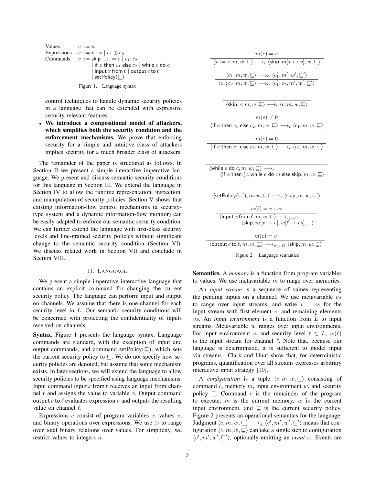```
Values v ::= nExpressions e ::= v | x | e_1 \oplus e_2Commands c ::= skip x := e \mid c_1; c_2if e then c_1 else c_2 while e do c
                      input x from \ell | output e to \ellsetPolicy(\sqsubseteq)Figure 1. Language syntax
```
control techniques to handle dynamic security policies in a language that can be extended with expressive security-relevant features.

We introduce a compositional model of attackers, which simplifies both the security condition and the enforcement mechanisms. We prove that enforcing security for a simple and intuitive class of attackers implies security for a much broader class of attackers.

The remainder of the paper is structured as follows. In Section II we present a simple interactive imperative language. We present and discuss semantic security conditions for this language in Section III. We extend the language in Section IV to allow the runtime representation, inspection, and manipulation of security policies. Section V shows that existing information-flow control mechanisms (a securitytype system and a dynamic information-flow monitor) can be easily adapted to enforce our semantic security condition. We can further extend the language with first-class security levels and fine-grained security policies without significant change to the semantic security condition (Section VI). We discuss related work in Section VII and conclude in Section VIII.

#### II. LANGUAGE

We present a simple imperative interactive language that contains an explicit command for changing the current security policy. The language can perform input and output on channels. We assume that there is one channel for each security level in L. Our semantic security conditions will be concerned with protecting the confidentiality of inputs received on channels.

Syntax. Figure 1 presents the language syntax. Language commands are standard, with the exception of input and output commands, and command setPolicy( $\sqsubseteq$ ), which sets the current security policy to  $\sqsubseteq$ . We do not specify how security policies are denoted, but assume that some mechanism exists. In later sections, we will extend the language to allow security policies to be specified using language mechanisms. Input command input x from  $\ell$  receives an input from channel  $\ell$  and assigns the value to variable x. Output command output  $e$  to  $\ell$  evaluates expression  $e$  and outputs the resulting value on channel  $\ell$ .

Expressions  $e$  consist of program variables  $x$ , values  $v$ , and binary operations over expressions. We use  $\oplus$  to range over total binary relations over values. For simplicity, we restrict values to integers n.

| $m(e) = v$                                                                                                                                                               |  |  |
|--------------------------------------------------------------------------------------------------------------------------------------------------------------------------|--|--|
| $\langle x:=e,m,w,\sqsubseteq\rangle\longrightarrow_{\epsilon}\langle$ skip, $m[x\mapsto v],w,\sqsubseteq\rangle$                                                        |  |  |
| $\langle c_1, m, w, \sqsubseteq \rangle \longrightarrow_\alpha \langle c_1', m', w', \sqsubseteq' \rangle$                                                               |  |  |
| $\langle c_1;c_2,m,w,\sqsubseteq\rangle \longrightarrow_\alpha \langle c_1';c_2,m',w',\sqsubseteq'\rangle$                                                               |  |  |
|                                                                                                                                                                          |  |  |
| $\langle$ skip; $c, m, w, \sqsubseteq \rangle \longrightarrow_{\epsilon} \langle c, m, w, \sqsubseteq \rangle$                                                           |  |  |
| $m(e) \neq 0$                                                                                                                                                            |  |  |
| $\langle$ if e then $c_1$ else $c_2, m, w, \sqsubseteq \rangle \longrightarrow_{\epsilon} \langle c_1, m, w, \sqsubseteq \rangle$                                        |  |  |
| $m(e) = 0$                                                                                                                                                               |  |  |
| $\langle$ if e then $c_1$ else $c_2, m, w, \sqsubseteq \rangle \longrightarrow_{\epsilon} \langle c_2, m, w, \sqsubseteq \rangle$                                        |  |  |
|                                                                                                                                                                          |  |  |
| $\langle$ while e do $c, m, w, \sqsubseteq \rangle \longrightarrow_{\epsilon}$                                                                                           |  |  |
| $\langle$ if e then $(c;$ while e do c) else skip, $m, w, \sqsubseteq \rangle$                                                                                           |  |  |
|                                                                                                                                                                          |  |  |
| $\langle \mathsf{setPolicy}(\sqsubseteq'), m, w, \sqsubseteq \rangle \longrightarrow_{\epsilon} \langle \mathsf{skip}, m, w, \sqsubseteq' \rangle$                       |  |  |
| $w(\ell) = v : vs$                                                                                                                                                       |  |  |
| $\langle \mathsf{input}\, x\, \mathsf{from}\, \ell,m,w,\sqsubseteq \rangle \longrightarrow_{i(v,\ell)}$                                                                  |  |  |
| $\langle$ skip, $m[x \mapsto v], w[\ell \mapsto vs], \sqsubseteq \rangle$                                                                                                |  |  |
| $m(e) = v$                                                                                                                                                               |  |  |
| $\overline{\langle \textsf{output} \, e \, \textsf{to} \, \ell, m, w, \sqsubseteq \rangle \longrightarrow_{o(v,\ell)} \langle \textsf{skip}, m, w, \sqsubseteq \rangle}$ |  |  |
| Figure 2. Language semantics                                                                                                                                             |  |  |

Semantics. A *memory* is a function from program variables to values. We use metavariable  $m$  to range over memories.

An *input stream* is a sequence of values representing the pending inputs on a channel. We use metavariable  $vs$ to range over input streams, and write  $v : vs$  for the input stream with first element  $v$ , and remaining elements vs. An *input environment* is a function from L to input streams. Metavariable w ranges over input environments. For input environment w and security level  $\ell \in L$ ,  $w(\ell)$ is the input stream for channel  $\ell$ . Note that, because our language is deterministic, it is sufficient to model input via streams—Clark and Hunt show that, for deterministic programs, quantification over all streams expresses arbitrary interactive input strategy [10].

A *configuration* is a tuple  $\langle c, m, w \rangle \subseteq \rangle$  consisting of command  $c$ , memory  $m$ , input environment  $w$ , and security policy  $\subseteq$ . Command c is the remainder of the program to execute,  $m$  is the current memory,  $w$  is the current input environment, and  $\sqsubseteq$  is the current security policy. Figure 2 presents an operational semantics for the language. Judgment  $\langle c, m, w, \sqsubseteq \rangle \longrightarrow_{\alpha} \langle c', m', w', \sqsubseteq' \rangle$  means that configuration  $\langle c, m, w, \sqsubseteq \rangle$  can take a single step to configuration  $\langle c', m', w', \sqsubseteq' \rangle$ , optionally emitting an *event*  $\alpha$ . Events are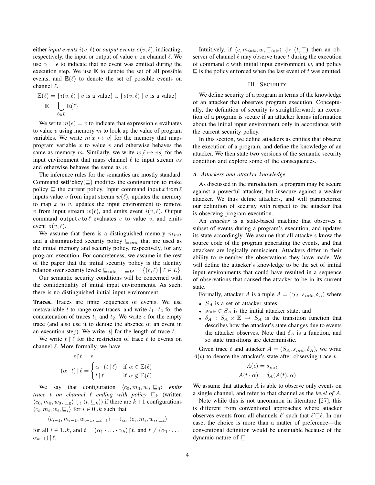either *input events*  $i(v, \ell)$  or *output events*  $o(v, \ell)$ , indicating, respectively, the input or output of value  $v$  on channel  $\ell$ . We use  $\alpha = \epsilon$  to indicate that no event was emitted during the execution step. We use  $E$  to denote the set of all possible events, and  $\mathbb{E}(\ell)$  to denote the set of possible events on channel  $\ell$ .

$$
\mathbb{E}(\ell) = \{i(v, \ell) \mid v \text{ is a value}\} \cup \{o(v, \ell) \mid v \text{ is a value}\}
$$

$$
\mathbb{E} = \bigcup_{\ell \in L} \mathbb{E}(\ell)
$$

We write  $m(e) = v$  to indicate that expression e evaluates to value  $v$  using memory  $m$  to look up the value of program variables. We write  $m[x \mapsto v]$  for the memory that maps program variable  $x$  to value  $v$  and otherwise behaves the same as memory m. Similarly, we write  $w[\ell \mapsto vs]$  for the input environment that maps channel  $\ell$  to input stream vs and otherwise behaves the same as w.

The inference rules for the semantics are mostly standard. Command setPolicy( $\sqsubseteq$ ) modifies the configuration to make policy  $\subseteq$  the current policy. Input command input x from  $\ell$ inputs value v from input stream  $w(\ell)$ , updates the memory to map  $x$  to  $v$ , updates the input environment to remove v from input stream  $w(\ell)$ , and emits event  $i(v, \ell)$ . Output command output  $e$  to  $\ell$  evaluates  $e$  to value  $v$ , and emits event  $o(v, \ell)$ .

We assume that there is a distinguished memory  $m_{init}$ and a distinguished security policy  $\mathcal{L}_{init}$  that are used as the initial memory and security policy, respectively, for any program execution. For concreteness, we assume in the rest of the paper that the initial security policy is the identity relation over security levels:  $\sqsubseteq_{init} = \sqsubseteq_{Id} = \{(\ell, \ell) | \ell \in L\}.$ 

Our semantic security conditions will be concerned with the confidentiality of initial input environments. As such, there is no distinguished initial input environment.

Traces. Traces are finite sequences of events. We use metavariable t to range over traces, and write  $t_1 \cdot t_2$  for the concatenation of traces  $t_1$  and  $t_2$ . We write  $\epsilon$  for the empty trace (and also use it to denote the absence of an event in an execution step). We write |t| for the length of trace t.

We write  $t \restriction \ell$  for the restriction of trace t to events on channel  $\ell$ . More formally, we have

$$
\epsilon \upharpoonright \ell = \epsilon
$$
  

$$
(\alpha \cdot t) \upharpoonright \ell = \begin{cases} \alpha \cdot (t \upharpoonright \ell) & \text{if } \alpha \in \mathbb{E}(\ell) \\ t \upharpoonright \ell & \text{if } \alpha \notin \mathbb{E}(\ell). \end{cases}
$$

We say that configuration  $\langle c_0, m_0, w_0, \underline{\sqsubseteq}_0 \rangle$  *emits trace t on channel*  $\ell$  *ending with policy*  $\sqsubseteq_k$  (written  $\langle c_0, m_0, w_0, \underline{\sqsubseteq}_0 \rangle \Downarrow_{\ell} (t, \underline{\sqsubseteq}_k)$  if there are  $k+1$  configurations  $\langle c_i, m_i, w_i, \sqsubseteq_i \rangle$  for  $i \in 0..k$  such that

$$
\langle c_{i-1},m_{i-1},w_{i-1},\sqsubseteq_{i-1}\rangle\longrightarrow_{\alpha_i}\langle c_i,m_i,w_i,\sqsubseteq_i\rangle
$$

for all  $i \in 1..k$ , and  $t = (\alpha_1 \cdot \ldots \cdot \alpha_k) \upharpoonright \ell$ , and  $t \neq (\alpha_1 \cdot \ldots \cdot \alpha_k)$  $\alpha_{k-1}) \restriction \ell$ .

Intuitively, if  $\langle c, m_{init}, w, \sqsubseteq_{init} \rangle \Downarrow_{\ell} (t, \sqsubseteq)$  then an observer of channel  $\ell$  may observe trace t during the execution of command  $c$  with initial input environment  $w$ , and policy  $\Box$  is the policy enforced when the last event of t was emitted.

# III. SECURITY

We define security of a program in terms of the knowledge of an attacker that observes program execution. Conceptually, the definition of security is straightforward: an execution of a program is secure if an attacker learns information about the initial input environment only in accordance with the current security policy.

In this section, we define attackers as entities that observe the execution of a program, and define the knowledge of an attacker. We then state two versions of the semantic security condition and explore some of the consequences.

# *A. Attackers and attacker knowledge*

As discussed in the introduction, a program may be secure against a powerful attacker, but insecure against a weaker attacker. We thus define attackers, and will parameterize our definition of security with respect to the attacker that is observing program execution.

An *attacker* is a state-based machine that observes a subset of events during a program's execution, and updates its state accordingly. We assume that all attackers know the source code of the program generating the events, and that attackers are logically omniscient. Attackers differ in their ability to remember the observations they have made. We will define the attacker's knowledge to be the set of initial input environments that could have resulted in a sequence of observations that caused the attacker to be in its current state.

Formally, attacker A is a tuple  $A = (S_A, s_{init}, \delta_A)$  where

- $S_A$  is a set of attacker states;
- $s_{init} \in S_A$  is the initial attacker state; and
- $\delta_A$  :  $S_A \times \mathbb{E} \rightarrow S_A$  is the transition function that describes how the attacker's state changes due to events the attacker observes. Note that  $\delta_A$  is a function, and so state transitions are deterministic.

Given trace t and attacker  $A = (S_A, s_{init}, \delta_A)$ , we write  $A(t)$  to denote the attacker's state after observing trace t.

$$
A(\epsilon) = s_{init}
$$

$$
A(t \cdot \alpha) = \delta_A(A(t), \alpha)
$$

We assume that attacker  $A$  is able to observe only events on a single channel, and refer to that channel as the *level of* A.

Note while this is not uncommon in literature [27], this is different from conventional approaches where attacker observes events from all channels  $\ell'$  such that  $\ell' \sqsubseteq \ell$ . In our case, the choice is more than a matter of preference—the conventional definition would be unsuitable because of the dynamic nature of  $\sqsubseteq$ .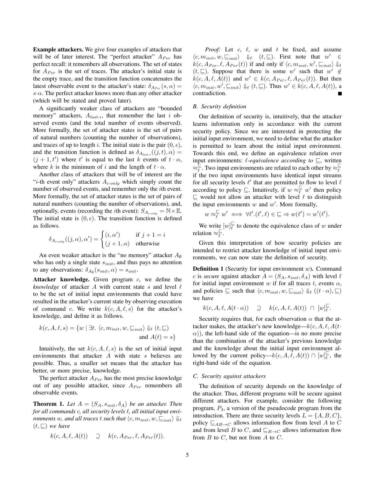Example attackers. We give four examples of attackers that will be of later interest. The "perfect attacker"  $A_{Per}$  has perfect recall: it remembers all observations. The set of states for  $A_{Per}$  is the set of traces. The attacker's initial state is the empty trace, and the transition function concatenates the latest observable event to the attacker's state:  $\delta_{A_{Per}}(s, \alpha) =$  $s \cdot \alpha$ . The perfect attacker knows more than any other attacker (which will be stated and proved later).

A significantly weaker class of attackers are "bounded memory" attackers,  $A_{last-i}$ , that remember the last i observed events (and the total number of events observed). More formally, the set of attacker states is the set of pairs of natural numbers (counting the number of observations), and traces of up to length i. The initial state is the pair  $(0, \epsilon)$ , and the transition function is defined as  $\delta_{A_{last-i}}((j,t), \alpha) =$  $(j + 1, t')$  where t' is equal to the last k events of  $t \cdot \alpha$ , where k is the minimum of i and the length of  $t \cdot \alpha$ .

Another class of attackers that will be of interest are the "*i*-th event only" attackers  $A_{i-only}$  which simply count the number of observed events, and remember only the ith event. More formally, the set of attacker states is the set of pairs of natural numbers (counting the number of observations), and, optionally, events (recording the *i*th event):  $S_{A_{i\text{-}only}} = \mathbb{N} \times \mathbb{E}$ . The initial state is  $(0, \epsilon)$ . The transition function is defined as follows.

$$
\delta_{A_{i\text{-}only}}((j,\alpha),\alpha') = \begin{cases} (i,\alpha') & \text{if } j+1=i\\ (j+1,\alpha) & \text{otherwise} \end{cases}
$$

An even weaker attacker is the "no memory" attacker  $A_{\emptyset}$ who has only a single state  $s_{init}$ , and thus pays no attention to any observations:  $\delta_{A_{\emptyset}}(s_{init}, \alpha) = s_{init}$ .

Attacker knowledge. Given program  $c$ , we define the *knowledge* of attacker A with current state s and level  $\ell$ to be the set of initial input environments that could have resulted in the attacker's current state by observing execution of command c. We write  $k(c, A, \ell, s)$  for the attacker's knowledge, and define it as follows.

$$
k(c, A, \ell, s) = \{w \mid \exists t. \langle c, m_{init}, w, \sqsubseteq_{init} \rangle \Downarrow_{\ell} (t, \sqsubseteq)
$$
  
and  $A(t) = s\}$ 

Intuitively, the set  $k(c, A, \ell, s)$  is the set of initial input environments that attacker  $A$  with state  $s$  believes are possible. Thus, a smaller set means that the attacker has better, or more precise, knowledge.

The perfect attacker  $A_{Per}$  has the most precise knowledge out of any possible attacker, since  $A_{Per}$  remembers all observable events.

**Theorem 1.** Let  $A = (S_A, s_{init}, \delta_A)$  be an attacker. Then for all commands c, all security levels  $\ell$ , all initial input envi*ronments* w, and all traces t such that  $\langle c, m_{init}, w, \underline{\sqsubseteq}_{init} \rangle \downarrow_{\ell}$  $(t, \sqsubseteq)$  *we have* 

$$
k(c, A, \ell, A(t)) \quad \supseteq \quad k(c, A_{Per}, \ell, A_{Per}(t)).
$$

*Proof:* Let  $c, \ell, w$  and  $t$  be fixed, and assume  $\langle c, m_{init}, w, \sqsubseteq_{init} \rangle$   $\Downarrow_{\ell}$   $(t, \sqsubseteq)$ . First note that w'  $\in$  $k(c, A_{Per}, \ell, A_{Per}(t))$  if and only if  $\langle c, m_{init}, w', \sqsubseteq_{init} \rangle \Downarrow_{\ell}$  $(t, \subseteq)$ . Suppose that there is some w' such that  $w' \notin$  $k(c, A, \ell, A(t))$  and  $w' \in k(c, A_{Per}, \ell, A_{Per}(t))$ . But then  $\langle c, m_{\text{init}}, w', \sqsubseteq_{\text{init}} \rangle \Downarrow_{\ell} (t, \sqsubseteq)$ . Thus  $w' \in k(c, A, \ell, A(t)),$  a contradiction.

# *B. Security definition*

Our definition of security is, intuitively, that the attacker learns information only in accordance with the current security policy. Since we are interested in protecting the initial input environment, we need to define what the attacker is permitted to learn about the initial input environment. Towards this end, we define an equivalence relation over input environments:  $\ell$ -equivalence according to  $\sqsubseteq$ , written  $\approx_{\ell}^{\mathsf{E}}$ . Two input environments are related to each other by  $\approx_{\ell}^{\mathsf{E}}$ if the two input environments have identical input streams for all security levels  $\ell'$  that are permitted to flow to level  $\ell$ according to policy  $\subseteq$ . Intuitively, if  $w \approx_{\ell}^{\subseteq} w'$  then policy  $\subseteq$  would not allow an attacker with level  $\ell$  to distinguish the input environments  $w$  and  $w'$ . More formally,

$$
w \approx_{\ell}^{\mathbb{E}} w' \iff \forall \ell'.(\ell',\ell) \in \mathbb{E} \Rightarrow w(\ell') = w'(\ell').
$$

We write  $[w]_{\ell}^{\sqsubseteq}$  to denote the equivalence class of w under relation  $\approx_{\ell}^{\square}$ .

Given this interpretation of how security policies are intended to restrict attacker knowledge of initial input environments, we can now state the definition of security.

**Definition 1** (Security for input environment  $w$ ). Command c is *secure* against attacker  $A = (S_A, s_{init}, \delta_A)$  with level  $\ell$ for initial input environment w if for all traces t, events  $\alpha$ , and policies  $\subseteq$  such that  $\langle c, m_{init}, w, \subseteq_{init} \rangle \Downarrow_{\ell} ((t \cdot \alpha), \subseteq)$ we have

 $k(c, A, \ell, A(t \cdot \alpha)) \supseteq k(c, A, \ell, A(t)) \cap [w]_{\ell}^{\square}.$ 

Security requires that, for each observation  $\alpha$  that the attacker makes, the attacker's new knowledge— $k(c, A, \ell, A(t))$  $\alpha$ )), the left-hand side of the equation—is no more precise than the combination of the attacker's previous knowledge and the knowledge about the initial input environment allowed by the current policy— $k(c, A, \ell, A(t)) \cap [w]_{\ell}^{\sqsubseteq}$ , the right-hand side of the equation.

#### *C. Security against attackers*

The definition of security depends on the knowledge of the attacker. Thus, different programs will be secure against different attackers. For example, consider the following program,  $P_3$ , a version of the pseudocode program from the introduction. There are three security levels  $L = \{A, B, C\},\$ policy  $\sqsubseteq_{AB\to C}$  allows information flow from level A to C and from level B to C, and  $\sqsubseteq_{B\to C}$  allows information flow from  $B$  to  $C$ , but not from  $A$  to  $C$ .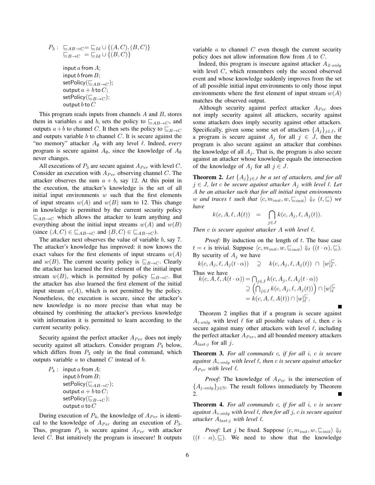$$
P_3: \quad \underline{\sqsubseteq}_{AB \to C} = \underline{\sqsubseteq}_{Id} \cup \{(A, C), (B, C)\}
$$
\n
$$
\underline{\sqsubseteq}_{B \to C} = \underline{\sqsubseteq}_{Id} \cup \{(B, C)\}
$$
\ninput *a* from *A*;

\ninput *b* from *B*;

\nsetPolicy( $\underline{\sqsubseteq}_{AB \to C}$ );

\noutput *a + b* to *C*;

\nsetPolicy( $\underline{\sqsubseteq}_{B \to C}$ );

\noutput *b* to *C*

This program reads inputs from channels  $A$  and  $B$ , stores them in variables a and b, sets the policy to  $\sqsubseteq_{AB\rightarrow C}$ , and outputs  $a+b$  to channel C. It then sets the policy to  $\Box_{B\to C}$ and outputs variable  $b$  to channel  $C$ . It is secure against the "no memory" attacker  $A_{\emptyset}$  with any level  $\ell$ . Indeed, *every* program is secure against  $A_{\emptyset}$ , since the knowledge of  $A_{\emptyset}$ never changes.

All executions of  $P_3$  are secure against  $A_{Per}$  with level C. Consider an execution with  $A_{Per}$  observing channel C. The attacker observes the sum  $a + b$ , say 12. At this point in the execution, the attacker's knowledge is the set of all initial input environments  $w$  such that the first elements of input streams  $w(A)$  and  $w(B)$  sum to 12. This change in knowledge is permitted by the current security policy  $\sqsubseteq_{AB\to C}$  which allows the attacker to learn anything and everything about the initial input streams  $w(A)$  and  $w(B)$ (since  $(A, C) \in \sqsubseteq_{AB \to C}$  and  $(B, C) \in \sqsubseteq_{AB \to C}$ ).

The attacker next observes the value of variable b, say 7. The attacker's knowledge has improved: it now knows the exact values for the first elements of input streams  $w(A)$ and  $w(B)$ . The current security policy is  $\sqsubseteq_{B\rightarrow C}$ . Clearly the attacker has learned the first element of the initial input stream  $w(B)$ , which is permitted by policy  $\sqsubseteq_{B\to C}$ . But the attacker has also learned the first element of the initial input stream  $w(A)$ , which is not permitted by the policy. Nonetheless, the execution is secure, since the attacker's new knowledge is no more precise than what may be obtained by combining the attacker's previous knowledge with information it is permitted to learn according to the current security policy.

Security against the perfect attacker  $A_{Per}$  does not imply security against all attackers. Consider program  $P_4$  below, which differs from  $P_3$  only in the final command, which outputs variable  $a$  to channel  $C$  instead of  $b$ .

$$
P_4: \text{ input } a \text{ from } A; \\
\text{ input } b \text{ from } B; \\
\text{setPolicy}(\sqsubseteq_{AB \to C}); \\
\text{output } a + b \text{ to } C; \\
\text{setPolicy}(\sqsubseteq_{B \to C}); \\
\text{output } a \text{ to } C
$$

During execution of  $P_4$ , the knowledge of  $A_{Per}$  is identical to the knowledge of  $A_{Per}$  during an execution of  $P_3$ . Thus, program  $P_4$  is secure against  $A_{Per}$  with attacker level C. But intuitively the program is insecure! It outputs variable  $\alpha$  to channel  $C$  even though the current security policy does not allow information flow from A to C.

Indeed, this program is insecure against attacker  $A_{2\text{-}only}$ with level C, which remembers only the second observed event and whose knowledge suddenly improves from the set of all possible initial input environments to only those input environments where the first element of input stream  $w(A)$ matches the observed output.

Although security against perfect attacker  $A_{Per}$  does not imply security against all attackers, security against some attackers does imply security against other attackers. Specifically, given some some set of attackers  $\{A_j\}_{j\in J}$ , if a program is secure against  $A_j$  for all  $j \in J$ , then the program is also secure against an attacker that combines the knowledge of all  $A_i$ . That is, the program is also secure against an attacker whose knowledge equals the intersection of the knowledge of  $A_j$  for all  $j \in J$ .

**Theorem 2.** *Let*  $\{A_j\}_{j\in J}$  *be a set of attackers, and for all j* ∈ *J, let c be secure against attacker*  $A_j$  *with level*  $\ell$ *. Let* A *be an attacker such that for all initial input environments w* and traces t such that  $\langle c, m_{init}, w, \sqsubseteq_{init} \rangle \Downarrow_{\ell} (t, \sqsubseteq)$  we *have*

$$
k(c, A, \ell, A(t)) = \bigcap_{j \in J} k(c, A_j, \ell, A_j(t)).
$$

*Then*  $c$  *is secure against attacker*  $\overline{A}$  *with level*  $\ell$ *.* 

*Proof:* By induction on the length of t. The base case  $t = \epsilon$  is trivial. Suppose  $\langle c, m_{init}, w, \sqsubseteq_{init} \rangle \Downarrow_{\ell} ((t \cdot \alpha), \sqsubseteq).$ By security of  $A_j$  we have

 $k(c, A_j, \ell, A_j(t \cdot \alpha)) \supseteq k(c, A_j, \ell, A_j(t)) \cap [w]_{\ell}^{\square}.$ Thus we have  $k(c, A, \ell, A(t \cdot \alpha)) = \bigcap_{j \in J} k(c, A_j, \ell, A_j(t \cdot \alpha))$  $\supseteq \left(\bigcap_{j\in J} k(c, A_j, \ell, A_j(t))\right)\cap [w]_e^{\sqsubseteq}$  $= k(c, A, \ell, A(t)) \cap [w]_{\ell}^{\square}.$ 

Theorem 2 implies that if a program is secure against  $A_{i-only}$  with level  $\ell$  for all possible values of i, then c is secure against many other attackers with level  $\ell$ , including the perfect attacker  $A_{Per}$ , and all bounded memory attackers  $A_{last-j}$  for all j.

Theorem 3. *For all commands* c*, if for all* i*,* c *is secure against* A<sup>i</sup>*-*only *with level* `*, then* c *is secure against attacker*  $A_{Per}$  *with level*  $\ell$ .

*Proof:* The knowledge of  $A_{Per}$  is the intersection of  ${A_{j-only}}_{j \in \mathbb{N}}$ . The result follows immediately by Theorem 2. П

Theorem 4. *For all commands* c*, if for all* i*,* c *is secure against*  $A_{i\text{-}only}$  *with level*  $\ell$ *, then for all j, c is secure against attacker*  $A_{last-i}$  *with level*  $\ell$ *.* 

*Proof:* Let j be fixed. Suppose  $\langle c, m_{init}, w, \sqsubseteq_{init} \rangle \Downarrow_{\ell}$  $((t \cdot \alpha), \sqsubseteq)$ . We need to show that the knowledge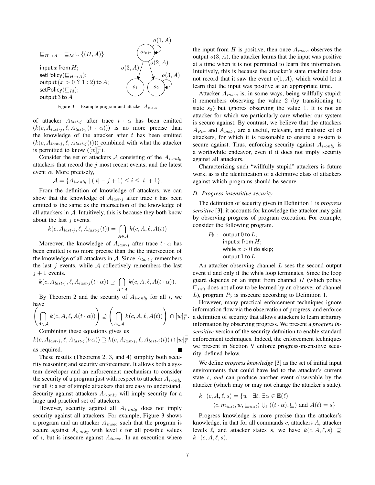

Figure 3. Example program and attacker  $A_{insec}$ 

of attacker  $A_{last-j}$  after trace  $t \cdot \alpha$  has been emitted  $(k(c, A_{last-j}, \ell, A_{last-j}(t \cdot \alpha)))$  is no more precise than the knowledge of the attacker after  $t$  has been emitted  $(k(c, A_{last-j}, \ell, A_{last-j}(t)))$  combined with what the attacker is permitted to know  $([w]_{{\ell}}^{\sqsubseteq}).$ 

Consider the set of attackers A consisting of the  $A_{i\text{-}only}$ attackers that record the  $j$  most recent events, and the latest event  $\alpha$ . More precisely,

$$
\mathcal{A} = \{ A_{i\text{-}only} \mid (|t| - j + 1) \le i \le |t| + 1 \}.
$$

From the definition of knowledge of attackers, we can show that the knowledge of  $A_{last-j}$  after trace t has been emitted is the same as the intersection of the knowledge of all attackers in  $A$ . Intuitively, this is because they both know about the last  $j$  events.

$$
k(c, A_{last\cdot j}, \ell, A_{last\cdot j}(t)) = \bigcap_{A \in \mathcal{A}} k(c, A, \ell, A(t))
$$

Moreover, the knowledge of  $A_{last-j}$  after trace  $t \cdot \alpha$  has been emitted is no more precise than the the intersection of the knowledge of all attackers in A. Since  $A_{last-j}$  remembers the last  $j$  events, while  $A$  collectively remembers the last  $j + 1$  events.

$$
k(c, A_{last\cdot j}, \ell, A_{last\cdot j}(t \cdot \alpha)) \supseteq \bigcap_{A \in \mathcal{A}} k(c, A, \ell, A(t \cdot \alpha)).
$$

By Theorem 2 and the security of  $A_{i\text{-}only}$  for all i, we have

$$
\left(\bigcap_{A\in\mathcal{A}} k(c, A, \ell, A(t \cdot \alpha))\right) \supseteq \left(\bigcap_{A\in\mathcal{A}} k(c, A, \ell, A(t))\right) \cap [w]_{\ell}^{\square}
$$

Combining these equations gives us

 $k(c, A_{last-j}, \ell, A_{last-j}(t \cdot \alpha)) \supseteq k(c, A_{last-j}, \ell, A_{last-j}(t)) \cap [w]_{\ell}^{\sqsubseteq}$ as required.

These results (Theorems 2, 3, and 4) simplify both security reasoning and security enforcement. It allows both a system developer and an enforcement mechanism to consider the security of a program just with respect to attacker  $A_{i\text{-}onlu}$ for all *i*: a set of simple attackers that are easy to understand. Security against attackers  $A_{i-only}$  will imply security for a large and practical set of attackers.

However, security against all  $A_{i\text{-}only}$  does not imply security against all attackers. For example, Figure 3 shows a program and an attacker  $A_{insec}$  such that the program is secure against  $A_{i-only}$  with level  $\ell$  for all possible values of i, but is insecure against  $A_{insec}$ . In an execution where the input from H is positive, then once  $A_{insec}$  observes the output  $o(3, A)$ , the attacker learns that the input was positive at a time when it is not permitted to learn this information. Intuitively, this is because the attacker's state machine does not record that it saw the event  $o(1, A)$ , which would let it learn that the input was positive at an appropriate time.

Attacker  $A_{insec}$  is, in some ways, being willfully stupid: it remembers observing the value 2 (by transitioning to state  $s_2$ ) but ignores observing the value 1. It is not an attacker for which we particularly care whether our system is secure against. By contrast, we believe that the attackers  $A_{Per}$  and  $A_{last-i}$  are a useful, relevant, and realistic set of attackers, for which it is reasonable to ensure a system is secure against. Thus, enforcing security against  $A_{i\text{-}only}$  is a worthwhile endeavor, even if it does not imply security against all attackers.

Characterizing such "willfully stupid" attackers is future work, as is the identification of a definitive class of attackers against which programs should be secure.

#### *D. Progress-insensitive security*

The definition of security given in Definition 1 is *progress sensitive* [3]: it accounts for knowledge the attacker may gain by observing progress of program execution. For example, consider the following program.

$$
P_5: \begin{array}{l} \text{output 0 to } L; \\ \text{input } x \text{ from } H; \\ \text{while } x > 0 \text{ do skip}; \\ \text{output 1 to } L \end{array}
$$

An attacker observing channel L sees the second output event if and only if the while loop terminates. Since the loop guard depends on an input from channel  $H$  (which policy  $\mathcal{L}_{init}$  does not allow to be learned by an observer of channel L), program  $P_5$  is insecure according to Definition 1.

However, many practical enforcement techniques ignore information flow via the observation of progress, and enforce a definition of security that allows attackers to learn arbitrary information by observing progress. We present a *progress insensitive* version of the security definition to enable standard enforcement techniques. Indeed, the enforcement techniques we present in Section V enforce progress-insensitive security, defined below.

We define *progress knowledge* [3] as the set of initial input environments that could have led to the attacker's current state s, *and* can produce another event observable by the attacker (which may or may not change the attacker's state).

$$
k^+(c, A, \ell, s) = \{w \mid \exists t. \exists \alpha \in \mathbb{E}(\ell).
$$
  

$$
\langle c, m_{init}, w, \underline{\sqsubseteq}_{init} \rangle \Downarrow_{\ell} ((t \cdot \alpha), \underline{\sqsubseteq}) \text{ and } A(t) = s \}
$$

Progress knowledge is more precise than the attacker's knowledge, in that for all commands c, attackers A, attacker levels  $\ell$ , and attacker states s, we have  $k(c, A, \ell, s) \supseteq$  $k^+(c, A, \ell, s).$ 

.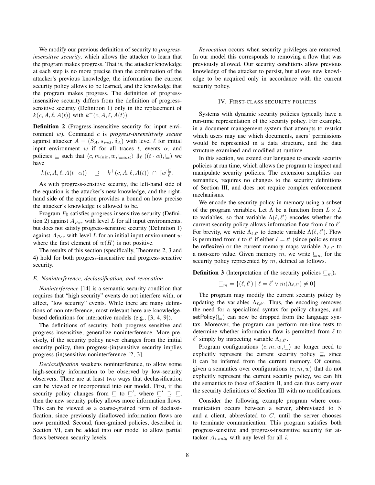We modify our previous definition of security to *progressinsensitive security*, which allows the attacker to learn that the program makes progress. That is, the attacker knowledge at each step is no more precise than the combination of the attacker's previous knowledge, the information the current security policy allows to be learned, and the knowledge that the program makes progress. The definition of progressinsensitive security differs from the definition of progresssensitive security (Definition 1) only in the replacement of  $k(c, A, \ell, A(t))$  with  $k^+(c, A, \ell, A(t))$ .

Definition 2 (Progress-insensitive security for input environment w). Command c is *progress-insensitively secure* against attacker  $A = (S_A, s_{init}, \delta_A)$  with level  $\ell$  for initial input environment w if for all traces t, events  $\alpha$ , and policies  $\subseteq$  such that  $\langle c, m_{init}, w, \subseteq_{init} \rangle \Downarrow_{\ell} ((t \cdot \alpha), \subseteq)$  we have

 $k(c, A, \ell, A(t \cdot \alpha)) \supseteq k^+(c, A, \ell, A(t)) \cap [w]_{\ell}^{\square}.$ 

As with progress-sensitive security, the left-hand side of the equation is the attacker's new knowledge, and the righthand side of the equation provides a bound on how precise the attacker's knowledge is allowed to be.

Program  $P_5$  satisfies progress-insensitive security (Definition 2) against  $A_{Per}$  with level L for all input environments, but does not satisfy progress-sensitive security (Definition 1) against  $A_{Per}$  with level L for an initial input environment w where the first element of  $w(H)$  is not positive.

The results of this section (specifically, Theorems 2, 3 and 4) hold for both progress-insensitive and progress-sensitive security.

# *E. Noninterference, declassification, and revocation*

*Noninterference* [14] is a semantic security condition that requires that "high security" events do not interfere with, or affect, "low security" events. While there are many definitions of noninterference, most relevant here are knowledgebased definitions for interactive models (e.g., [3, 4, 9]).

The definitions of security, both progress sensitive and progress insensitive, generalize noninterference. More precisely, if the security policy never changes from the initial security policy, then progress-(in)sensitive security implies progress-(in)sensitive noninterference [2, 3].

*Declassification* weakens noninterference, to allow some high-security information to be observed by low-security observers. There are at least two ways that declassification can be viewed or incorporated into our model. First, if the security policy changes from  $\subseteq$  to  $\subseteq'$ , where  $\subseteq' \supseteq \subseteq$ , then the new security policy allows more information flows. This can be viewed as a coarse-grained form of declassification, since previously disallowed information flows are now permitted. Second, finer-grained policies, described in Section VI, can be added into our model to allow partial flows between security levels.

*Revocation* occurs when security privileges are removed. In our model this corresponds to removing a flow that was previously allowed. Our security conditions allow previous knowledge of the attacker to persist, but allows new knowledge to be acquired only in accordance with the current security policy.

# IV. FIRST-CLASS SECURITY POLICIES

Systems with dynamic security policies typically have a run-time representation of the security policy. For example, in a document management system that attempts to restrict which users may use which documents, users' permissions would be represented in a data structure, and the data structure examined and modified at runtime.

In this section, we extend our language to encode security policies at run time, which allows the program to inspect and manipulate security policies. The extension simplifies our semantics, requires no changes to the security definitions of Section III, and does not require complex enforcement mechanisms.

We encode the security policy in memory using a subset of the program variables. Let  $\Lambda$  be a function from  $L \times L$ to variables, so that variable  $\Lambda(\ell, \ell')$  encodes whether the current security policy allows information flow from  $\ell$  to  $\ell'$ . For brevity, we write  $\Lambda_{\ell,\ell'}$  to denote variable  $\Lambda(\ell,\ell')$ . Flow is permitted from  $\ell$  to  $\ell'$  if either  $\ell = \ell'$  (since policies must be reflexive) or the current memory maps variable  $\Lambda_{\ell,\ell'}$  to a non-zero value. Given memory m, we write  $\sqsubseteq_m$  for the security policy represented by  $m$ , defined as follows.

**Definition 3** (Interpretation of the security policies  $\mathbb{F}_m$ ).

$$
\sqsubseteq_m = \{ (\ell, \ell') \mid \ell = \ell' \lor m(\Lambda_{\ell, \ell'}) \neq 0 \}
$$

The program may modify the current security policy by updating the variables  $\Lambda_{\ell,\ell'}$ . Thus, the encoding removes the need for a specialized syntax for policy changes, and setPolicy( $\sqsubseteq$ ) can now be dropped from the language syntax. Moreover, the program can perform run-time tests to determine whether information flow is permitted from  $\ell$  to  $\ell'$  simply by inspecting variable  $\Lambda_{\ell,\ell'}$ .

Program configurations  $\langle c, m, w \rangle \subseteq \rangle$  no longer need to explicitly represent the current security policy  $\sqsubseteq$ , since it can be inferred from the current memory. Of course, given a semantics over configurations  $\langle c, m, w \rangle$  that do not explicitly represent the current security policy, we can lift the semantics to those of Section II, and can thus carry over the security definitions of Section III with no modifications.

Consider the following example program where communication occurs between a server, abbreviated to S and a client, abbreviated to  $C$ , until the server chooses to terminate communication. This program satisfies both progress-sensitive and progress-insensitive security for attacker  $A_{i-only}$  with any level for all i.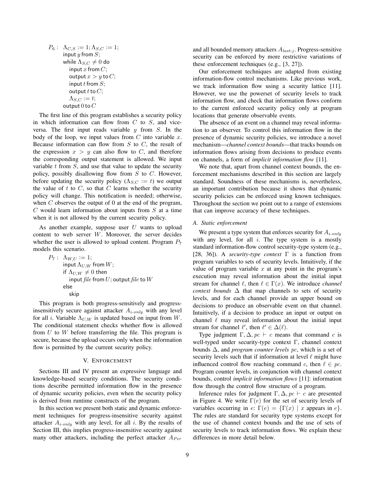$$
P_6: \ \Lambda_{C,S} := 1; \Lambda_{S,C} := 1;
$$
  
input y from S;  
while  $\Lambda_{S,C} \neq 0$  do  
input x from C;  
output x > y to C;  
input t from S;  
output t to C;  
 $\Lambda_{S,C} := t;$   
output 0 to C

The first line of this program establishes a security policy in which information can flow from  $C$  to  $S$ , and viceversa. The first input reads variable  $y$  from  $S$ . In the body of the loop, we input values from  $C$  into variable  $x$ . Because information can flow from  $S$  to  $C$ , the result of the expression  $x > y$  can also flow to C, and therefore the corresponding output statement is allowed. We input variable  $t$  from  $S$ , and use that value to update the security policy, possibly disallowing flow from  $S$  to  $C$ . However, before updating the security policy ( $\Lambda_{S,C} := t$ ) we output the value of  $t$  to  $C$ , so that  $C$  learns whether the security policy will change. This notification is needed; otherwise, when  $C$  observes the output of 0 at the end of the program,  $C$  would learn information about inputs from  $S$  at a time when it is not allowed by the current security policy.

As another example, suppose user  $U$  wants to upload content to web server W. Moreover, the server decides whether the user is allowed to upload content. Program  $P_7$ models this scenario.

> $P_7: \ \Lambda_{W,U} := 1;$ input  $\Lambda_{U,W}$  from  $W$ ; if  $\Lambda_{U,W} \neq 0$  then input file from  $U$ ; output file to  $W$ else skip

This program is both progress-sensitively and progressinsensitively secure against attacker  $A_{i-only}$  with any level for all *i*. Variable  $\Lambda_{U,W}$  is updated based on input from W. The conditional statement checks whether flow is allowed from  $U$  to  $W$  before transferring the file. This program is secure, because the upload occurs only when the information flow is permitted by the current security policy.

# V. ENFORCEMENT

Sections III and IV present an expressive language and knowledge-based security conditions. The security conditions describe permitted information flow in the presence of dynamic security policies, even when the security policy is derived from runtime constructs of the program.

In this section we present both static and dynamic enforcement techniques for progress-insensitive security against attacker  $A_{i-only}$  with any level, for all i. By the results of Section III, this implies progress-insensitive security against many other attackers, including the perfect attacker  $A_{Per}$ 

and all bounded memory attackers  $A_{last-j}$ . Progress-sensitive security can be enforced by more restrictive variations of these enforcement techniques (e.g., [3, 27]).

Our enforcement techniques are adapted from existing information-flow control mechanisms. Like previous work, we track information flow using a security lattice [11]. However, we use the powerset of security levels to track information flow, and check that information flows conform to the current enforced security policy only at program locations that generate observable events.

The absence of an event on a channel may reveal information to an observer. To control this information flow in the presence of dynamic security policies, we introduce a novel mechanism—*channel context bounds*—that tracks bounds on information flows arising from decisions to produce events on channels, a form of *implicit information flow* [11].

We note that, apart from channel context bounds, the enforcement mechanisms described in this section are largely standard. Soundness of these mechanisms is, nevertheless, an important contribution because it shows that dynamic security policies can be enforced using known techniques. Throughout the section we point out to a range of extensions that can improve accuracy of these techniques.

#### *A. Static enforcement*

We present a type system that enforces security for  $A_{i-only}$ with any level, for all  $i$ . The type system is a mostly standard information-flow control security-type system (e.g., [28, 36]). A *security-type context* Γ is a function from program variables to sets of security levels. Intuitively, if the value of program variable  $x$  at any point in the program's execution may reveal information about the initial input stream for channel  $\ell$ , then  $\ell \in \Gamma(x)$ . We introduce *channel context bounds*  $\Delta$  that map channels to sets of security levels, and for each channel provide an upper bound on decisions to produce an observable event on that channel. Intuitively, if a decision to produce an input or output on channel  $\ell$  may reveal information about the initial input stream for channel  $\ell'$ , then  $\ell' \in \Delta(\ell)$ .

Type judgment  $\Gamma, \Delta, pc \vdash c$  means that command c is well-typed under security-type context Γ, channel context bounds  $\Delta$ , and *program counter levels pc*, which is a set of security levels such that if information at level  $\ell$  might have influenced control flow reaching command c, then  $\ell \in pc$ . Program counter levels, in conjunction with channel context bounds, control *implicit information flows* [11]: information flow through the control flow structure of a program.

Inference rules for judgment  $\Gamma, \Delta, pc \vdash c$  are presented in Figure 4. We write  $\Gamma(e)$  for the set of security levels of variables occurring in  $e: \Gamma(e) = \{\Gamma(x) \mid x \text{ appears in } e\}.$ The rules are standard for security type systems except for the use of channel context bounds and the use of sets of security levels to track information flows. We explain these differences in more detail below.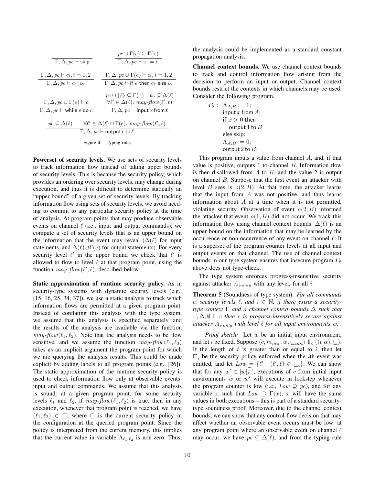| $\Gamma, \Delta, pc \vdash$ skip                                                                                                                          | $pc \cup \Gamma(e) \subseteq \Gamma(x)$<br>$\Gamma, \Delta, pc \vdash x := e$                                                     |  |
|-----------------------------------------------------------------------------------------------------------------------------------------------------------|-----------------------------------------------------------------------------------------------------------------------------------|--|
| $\Gamma, \Delta, pc \vdash c_i, i = 1, 2$<br>$\Gamma, \Delta, pc \vdash c_1; c_2$                                                                         | $\Gamma, \Delta, pc \cup \Gamma(e) \vdash c_i, i = 1, 2$<br>$\Gamma, \Delta, pc \vdash$ if e then $c_1$ else $c_2$                |  |
| $\Gamma, \Delta, pc \cup \Gamma(e) \vdash c$                                                                                                              | $pc \cup \{\ell\} \subseteq \Gamma(x)$ $pc \subseteq \Delta(\ell)$<br>$\forall \ell' \in \Delta(\ell)$ . may-flow $(\ell', \ell)$ |  |
| $\Gamma, \Delta, pc \vdash$ while e do c                                                                                                                  | $\Gamma, \Delta, pc \vdash \text{input } x \text{ from } \ell$                                                                    |  |
| $\forall \ell' \in \Delta(\ell) \cup \Gamma(e)$ . may-flow $(\ell', \ell)$<br>$pc \subset \Delta(\ell)$<br>$\Gamma, \Delta, pc \vdash$ output e to $\ell$ |                                                                                                                                   |  |
|                                                                                                                                                           | Figure 4. Typing rules                                                                                                            |  |

Powerset of security levels. We use sets of security levels to track information flow instead of taking upper bounds of security levels. This is because the security policy, which provides an ordering over security levels, may change during execution, and thus it is difficult to determine statically an "upper bound" of a given set of security levels. By tracking information flow using sets of security levels, we avoid needing to commit to any particular security policy at the time of analysis. At program points that may produce observable events on channel  $\ell$  (i.e., input and output commands), we compute a set of security levels that is an upper bound on the information that the event may reveal  $(\Delta(\ell))$  for input statements, and  $\Delta(\ell) \cup \Gamma(\epsilon)$  for output statements). For every security level  $\ell'$  in the upper bound we check that  $\ell'$  is allowed to flow to level  $\ell$  at that program point, using the function  $may\text{-}flow(\ell',\ell)$ , described below.

Static approximation of runtime security policy. As in security-type systems with dynamic security levels (e.g.,  $[15, 16, 25, 34, 37]$ , we use a static analysis to track which information flows are permitted at a given program point. Instead of conflating this analysis with the type system, we assume that this analysis is specified separately, and the results of the analysis are available via the function  $may \text{-}flow(\ell_1, \ell_2)$ . Note that the analysis needs to be flow sensitive, and we assume the function  $may-flow(\ell_1, \ell_2)$ takes as an implicit argument the program point for which we are querying the analysis results. This could be made explicit by adding labels to all program points (e.g., [26]). The static approximation of the runtime security policy is used to check information flow only at observable events: input and output commands. We assume that this analysis is sound: at a given program point, for some security levels  $\ell_1$  and  $\ell_2$ , if  $may-flow(\ell_1, \ell_2)$  is true, then in any execution, whenever that program point is reached, we have  $(\ell_1, \ell_2) \in \sqsubseteq$ , where  $\sqsubseteq$  is the current security policy in the configuration at the queried program point. Since the policy is interpreted from the current memory, this implies that the current value in variable  $\Lambda_{\ell_1,\ell_2}$  is non-zero. Thus,

the analysis could be implemented as a standard constant propagation analysis.

Channel context bounds. We use channel context bounds to track and control information flow arising from the decision to perform an input or output. Channel context bounds restrict the contexts in which channels may be used. Consider the following program.

$$
P_8: \ \Lambda_{A,B} := 1;
$$
  
input *x* from *A*;  
if *x* > 0 then  
output 1 to *B*  
else skip;  

$$
\Lambda_{A,B} := 0;
$$
  
output 2 to *B*;

This program inputs a value from channel A, and, if that value is positive, outputs 1 to channel  $B$ . Information flow is then disallowed from  $A$  to  $B$ , and the value 2 is output on channel B. Suppose that the first event an attacker with level B sees is  $o(2, B)$ . At that time, the attacker learns that the input from  $A$  was not positive, and thus learns information about  $A$  at a time when it is not permitted, violating security. Observation of event  $o(2, B)$  informed the attacker that event  $o(1, B)$  did not occur. We track this information flow using channel context bounds:  $\Delta(\ell)$  is an upper bound on the information that may be learned by the occurrence or non-occurrence of any event on channel  $\ell$ . It is a superset of the program counter levels at all input and output events on that channel. The use of channel context bounds in our type system ensures that insecure program  $P_8$ above does not type-check.

The type system enforces progress-insensitive security against attacker  $A_{i\text{-}only}$  with any level, for all i.

Theorem 5 (Soundness of type system). *For all commands c*, security levels  $\ell$ , and  $i \in \mathbb{N}$ , if there exists a security*type context* Γ *and a channel context bounds* ∆ *such that*  $\Gamma, \Delta, \emptyset \vdash c$  *then c is progress-insensitively secure against attacker*  $A_{i\text{-}only}$  *with level*  $\ell$  *for all input environments w.* 

*Proof sketch:* Let w be an initial input environment, and let *i* be fixed. Suppose  $\langle c, m_{init}, w, \sqsubseteq_{init} \rangle \Downarrow_{\ell} ((t \cdot \alpha), \sqsubseteq).$ If the length of  $t$  is greater than or equal to  $i$ , then let  $\mathcal{L}_i$  be the security policy enforced when the *i*th event was emitted, and let  $Low = \{ \ell' \mid (\ell', \ell) \in \sqsubseteq_i \}.$  We can show that for any  $w' \in [w]_{\ell}^{\square}$ , executions of c from initial input environments w or  $w'$  will execute in lockstep whenever the program counter is low (i.e.,  $Low \supset pc$ ), and for any variable x such that  $Low \supseteq \Gamma(x)$ , x will have the same values in both executions—this is part of a standard securitytype soundness proof. Moreover, due to the channel context bounds, we can show that any control-flow decision that may affect whether an observable event occurs must be low: at any program point where an observable event on channel  $\ell$ may occur, we have  $pc \subseteq \Delta(\ell)$ , and from the typing rule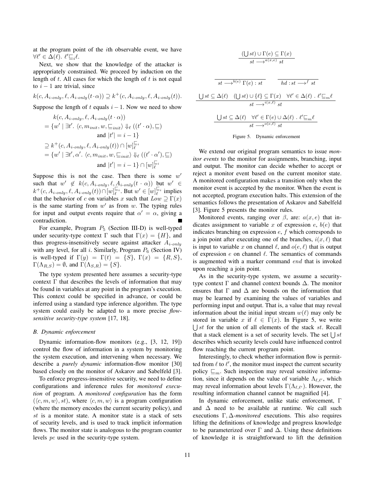at the program point of the ith observable event, we have  $\forall \ell' \in \Delta(\ell)$ .  $\ell' \sqsubseteq_i \ell$ .

Next, we show that the knowledge of the attacker is appropriately constrained. We proceed by induction on the length of  $t$ . All cases for which the length of  $t$  is not equal to  $i - 1$  are trivial, since

$$
k(c, A_{i\text{-}only}, \ell, A_{i\text{-}only}(t \cdot \alpha)) \supseteq k^+(c, A_{i\text{-}only}, \ell, A_{i\text{-}only}(t)).
$$

Suppose the length of t equals  $i - 1$ . Now we need to show

$$
k(c, A_{i\text{-}only}, \ell, A_{i\text{-}only}(t \cdot \alpha))
$$
\n
$$
= \{w' \mid \exists t'. \langle c, m_{init}, w, \sqsubseteq_{init} \rangle \Downarrow_{\ell} ((t' \cdot \alpha), \sqsubseteq)
$$
\nand  $|t'| = i - 1\}$ \n
$$
\supseteq k^+(c, A_{i\text{-}only}, \ell, A_{i\text{-}only}(t)) \cap [w]_{\ell}^{\sqsubseteq i}
$$
\n
$$
= \{w' \mid \exists t', \alpha'. \langle c, m_{init}, w, \sqsubseteq_{init} \rangle \Downarrow_{\ell} ((t' \cdot \alpha'), \sqsubseteq)
$$
\nand  $|t'| = i - 1\} \cap [w]_{\ell}^{\sqsubseteq i}$ 

Suppose this is not the case. Then there is some  $w'$ such that  $w' \notin k(c, A_{i-only}, \ell, A_{i-only}(t \cdot \alpha))$  but  $w' \in$  $k^+(c, A_{i-only}, \ell, A_{i-only}(t)) \cap [w]_{\ell}^{\sqsubseteq_i}$ . But  $w' \in [w]_{\ell}^{\sqsubseteq_i}$  implies that the behavior of c on variables x such that  $Low \supseteq \Gamma(x)$ is the same starting from  $w'$  as from  $w$ . The typing rules for input and output events require that  $\alpha' = \alpha$ , giving a contradiction.

For example, Program  $P_5$  (Section III-D) is well-typed under security-type context  $\Gamma$  such that  $\Gamma(x) = \{H\}$ , and thus progress-insensitively secure against attacker  $A_{i-only}$ with any level, for all i. Similarly, Program  $P_6$  (Section IV) is well-typed if  $\Gamma(y) = \Gamma(t) = \{S\}, \Gamma(x) = \{R, S\},\$  $\Gamma(\Lambda_{R,S}) = \emptyset$ , and  $\Gamma(\Lambda_{S,R}) = \{S\}.$ 

The type system presented here assumes a security-type context  $\Gamma$  that describes the levels of information that may be found in variables at any point in the program's execution. This context could be specified in advance, or could be inferred using a standard type inference algorithm. The type system could easily be adapted to a more precise *flowsensitive security-type system* [17, 18].

#### *B. Dynamic enforcement*

Dynamic information-flow monitors (e.g., [3, 12, 19]) control the flow of information in a system by monitoring the system execution, and intervening when necessary. We describe a *purely dynamic* information-flow monitor [30] based closely on the monitor of Askarov and Sabelfeld [3].

To enforce progress-insensitive security, we need to define configurations and inference rules for *monitored execution* of program. A *monitored configuration* has the form  $(\langle c, m, w \rangle, st)$ , where  $\langle c, m, w \rangle$  is a program configuration (where the memory encodes the current security policy), and st is a monitor state. A monitor state is a stack of sets of security levels, and is used to track implicit information flows. The monitor state is analogous to the program counter levels pc used in the security-type system.

$$
\frac{(\bigcup st) \cup \Gamma(e) \subseteq \Gamma(x)}{st \longrightarrow^{a(x,e)} st}
$$
\n
$$
\frac{}{st \longrightarrow^{b(e)} \Gamma(e) : st} \qquad \frac{}{hd : st \longrightarrow^f st}
$$
\n
$$
\bigcup st \subseteq \Delta(\ell) \quad (\bigcup st) \cup \{\ell\} \subseteq \Gamma(x) \quad \forall \ell' \in \Delta(\ell) \quad \ell' \sqsubseteq_m \ell
$$
\n
$$
st \longrightarrow^{i(x,\ell)} st
$$
\n
$$
\frac{}{st \longrightarrow^{o(e,\ell)} st} \qquad \frac{}{st \longrightarrow^{o(e,\ell)} st} \qquad \frac{}{st \longrightarrow^{o(e,\ell)} st}
$$



We extend our original program semantics to issue *monitor events* to the monitor for assignments, branching, input and output. The monitor can decide whether to accept or reject a monitor event based on the current monitor state. A monitored configuration makes a transition only when the monitor event is accepted by the monitor. When the event is not accepted, program execution halts. This extension of the semantics follows the presentation of Askarov and Sabelfeld [3]. Figure 5 presents the monitor rules.

Monitored events, ranging over  $\beta$ , are:  $a(x, e)$  that indicates assignment to variable x of expression  $e, b(e)$  that indicates branching on expression  $e$ ,  $f$  which corresponds to a join point after executing one of the branches,  $i(x, \ell)$  that is input to variable x on channel  $\ell$ , and  $o(e, \ell)$  that is output of expression  $e$  on channel  $\ell$ . The semantics of commands is augmented with a marker command end that is invoked upon reaching a join point.

As in the security-type system, we assume a securitytype context  $\Gamma$  and channel context bounds  $\Delta$ . The monitor ensures that  $\Gamma$  and  $\Delta$  are bounds on the information that may be learned by examining the values of variables and performing input and output. That is, a value that may reveal information about the initial input stream  $w(\ell)$  may only be stored in variable x if  $\ell \in \Gamma(x)$ . In Figure 5, we write  $\bigcup$  st for the union of all elements of the stack st. Recall that a stack element is a set of security levels. The set  $\bigcup st$ describes which security levels could have influenced control flow reaching the current program point.

Interestingly, to check whether information flow is permitted from  $\ell$  to  $\ell'$ , the monitor must inspect the current security policy  $\mathcal{F}_m$ . Such inspection may reveal sensitive information, since it depends on the value of variable  $\Lambda_{\ell,\ell'}$ , which may reveal information about levels  $\Gamma(\Lambda_{\ell,\ell'})$ . However, the resulting information channel cannot be magnified [4].

In dynamic enforcement, unlike static enforcement, Γ and  $\Delta$  need to be available at runtime. We call such executions Γ, ∆*-monitored* executions. This also requires lifting the definitions of knowledge and progress knowledge to be parameterized over  $\Gamma$  and  $\Delta$ . Using these definitions of knowledge it is straightforward to lift the definition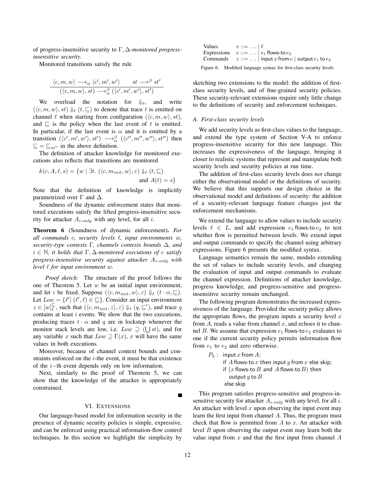of progress-insensitive security to Γ, ∆*-monitored progressinsensitive security*.

Monitored transitions satisfy the rule

$$
\frac{\langle c, m, w \rangle \longrightarrow_{\alpha} \langle c', m', w' \rangle \qquad st \longrightarrow^{\beta} st'}{(\langle c, m, w \rangle, st) \longrightarrow^{\beta}_{\alpha} (\langle c', m', w' \rangle, st')}
$$

We overload the notation for  $\psi_{\ell}$ , and write  $(\langle c, m, w \rangle, st) \Downarrow_{\ell} (t, \sqsubseteq)$  to denote that trace t is emitted on channel  $\ell$  when starting from configuration  $(\langle c, m, w \rangle, st)$ , and  $\subseteq$  is the policy when the last event of t is emitted. In particular, if the last event is  $\alpha$  and it is emitted by a transition  $(\langle c', m', w' \rangle, st') \longrightarrow_{\alpha}^{\beta} (\langle c'', m'', w'' \rangle, st'')$  then  $\mathbf{v} \equiv \mathbf{v} = \mathbf{v}$  in the above definition.

The definition of attacker knowledge for monitored executions also reflects that transitions are monitored

$$
k(c, A, \ell, s) = \{w \mid \exists t. \ (\langle c, m_{init}, w \rangle, \varepsilon) \Downarrow_{\ell} (t, \sqsubseteq)
$$
  
and  $A(t) = s\}$ 

Note that the definition of knowledge is implicitly parametrized over  $\Gamma$  and  $\Delta$ .

Soundness of the dynamic enforcement states that monitored executions satisfy the lifted progress-insensitive security for attacker  $A_{i-only}$  with any level, for all i.

Theorem 6 (Soundness of dynamic enforcement). *For all commands* c*, security levels* `*, input environments* w*, security-type contexts* Γ*, channels contexts bounds* ∆*, and*  $i \in \mathbb{N}$ , it holds that  $\Gamma$ ,  $\Delta$ *-monitored executions of c satisfy progress-insensitive security against attacker* Ai*-*only *with level*  $\ell$  *for input environment*  $w$ *.* 

*Proof sketch:* The structure of the proof follows the one of Theorem 5. Let  $w$  be an initial input environment, and let *i* be fixed. Suppose  $(\langle c, m_{init}, w \rangle, \varepsilon) \Downarrow_{\ell} (t \cdot \alpha, \sqsubseteq)$ . Let  $Low = \{\ell' | (\ell', \ell) \in \sqsubseteq\}$ . Consider an input environment  $z \in [w]_{\ell}^{\square}$ , such that  $(\langle c, m_{init}, z \rangle, \varepsilon) \Downarrow_{\ell} (q, \square')$ , and trace q contains at least  $i$  events. We show that the two executions, producing traces  $t \cdot \alpha$  and q are in lockstep whenever the monitor stack levels are low, i.e.  $Low \supseteq (\bigcup st)$ , and for any variable x such that  $Low \supseteq \Gamma(x)$ , x will have the same values in both executions.

Moreover, because of channel context bounds and constraints enforced on the  $i$ -the event, it must be that existence of the i−th event depends only on low information.

Next, similarly to the proof of Theorem 5, we can show that the knowledge of the attacker is appropriately constrained.

# VI. EXTENSIONS

Our language-based model for information security in the presence of dynamic security policies is simple, expressive, and can be enforced using practical information-flow control techniques. In this section we highlight the simplicity by

| Values $v ::= \ldots   \ell$ |                                                                   |
|------------------------------|-------------------------------------------------------------------|
|                              | Expressions $e ::= \dots   e_1$ flows-to $e_2$                    |
|                              | Commands $c ::= \dots  $ input x from $e  $ output $e_1$ to $e_2$ |

Figure 6. Modified language syntax for first-class security levels

sketching two extensions to the model: the addition of firstclass security levels, and of fine-grained security policies. These security-relevant extensions require only little change to the definitions of security and enforcement techniques.

#### *A. First-class security levels*

We add security levels as first-class values to the language, and extend the type system of Section V-A to enforce progress-insensitive security for this new language. This increases the expressiveness of the language, bringing it closer to realistic systems that represent and manipulate both security levels and security policies at run time.

The addition of first-class security levels does *not* change either the observational model or the definitions of security. We believe that this supports our design choice in the observational model and definitions of security: the addition of a security-relevant language feature changes just the enforcement mechanisms.

We extend the language to allow values to include security levels  $\ell \in L$ , and add expression  $e_1$  flows-to  $e_2$  to test whether flow is permitted between levels. We extend input and output commands to specify the channel using arbitrary expressions. Figure 6 presents the modified syntax.

Language semantics remain the same, modulo extending the set of values to include security levels, and changing the evaluation of input and output commands to evaluate the channel expression. Definitions of attacker knowledge, progress knowledge, and progress-sensitive and progressinsensitive security remain unchanged.

The following program demonstrates the increased expressiveness of the language. Provided the security policy allows the appropriate flows, the program inputs a security level  $x$ from  $A$ , reads a value from channel  $x$ , and echoes it to channel B. We assume that expression  $e_1$  flows-to  $e_2$  evaluates to one if the current security policy permits information flow from  $e_1$  to  $e_2$  and zero otherwise.

```
P_9: input x from A;
    if A flows-to x then input y from x else skip;
    if (x flows-to B and A flows-to B) then
       output y to Belse skip
```
This program satisfies progress-sensitive and progress-insensitive security for attacker  $A_{i-only}$  with any level, for all i. An attacker with level  $x$  upon observing the input event may learn the first input from channel A. Thus, the program must check that flow is permitted from  $A$  to  $x$ . An attacker with level B upon observing the output event may learn both the value input from  $x$  and that the first input from channel  $A$ 

 $\blacksquare$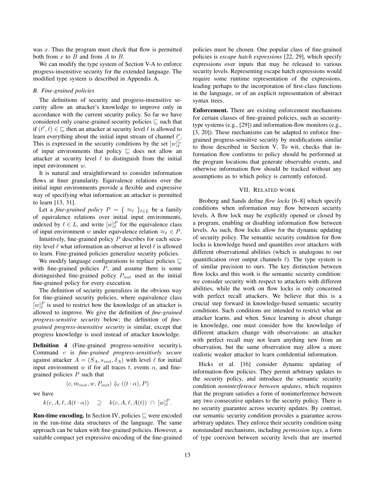was  $x$ . Thus the program must check that flow is permitted both from  $x$  to  $B$  and from  $A$  to  $B$ .

We can modify the type system of Section V-A to enforce progress-insensitive security for the extended language. The modified type system is described in Appendix A.

# *B. Fine-grained policies*

The definitions of security and progress-insensitive security allow an attacker's knowledge to improve only in accordance with the current security policy. So far we have considered only coarse-grained security policies  $\sqsubseteq$  such that if  $(\ell', \ell) \in \square$  then an attacker at security level  $\ell$  is allowed to learn everything about the initial input stream of channel  $\ell'$ . This is expressed in the security conditions by the set  $[w]_e^{\mathsf{C}}$ of input environments that policy  $\subseteq$  does not allow an attacker at security level  $\ell$  to distinguish from the initial input environment w.

It is natural and straightforward to consider information flows at finer granularity. Equivalence relations over the initial input environments provide a flexible and expressive way of specifying what information an attacker is permitted to learn [13, 31].

Let a *fine-grained policy*  $P = \{ \approx_{\ell} \}_{\ell \in L}$  be a family of equivalence relations over initial input environments, indexed by  $\ell \in L$ , and write  $[w]_{\ell}^P$  for the equivalence class of input environment w under equivalence relation  $\approx_{\ell} \in P$ .

Intuitively, fine-grained policy  $P$  describes for each security level  $\ell$  what information an observer at level  $\ell$  is allowed to learn. Fine-grained policies generalize security policies.

We modify language configurations to replace policies  $\Box$ with fine-grained policies  $P$ , and assume there is some distinguished fine-grained policy  $P_{init}$  used as the initial fine-grained policy for every execution.

The definition of security generalizes in the obvious way for fine-grained security policies, where equivalence class  $[w]_{\ell}^P$  is used to restrict how the knowledge of an attacker is allowed to improve. We give the definition of *fine-grained progress-sensitive security* below; the definition of *finegrained progress-insensitive security* is similar, except that progress knowledge is used instead of attacker knowledge.

Definition 4 (Fine-grained progress-sensitive security). Command c is *fine-grained progress-sensitively secure* against attacker  $A = (S_A, s_{init}, \delta_A)$  with level  $\ell$  for initial input environment w if for all traces t, events  $\alpha$ , and finegrained policies  $P$  such that

$$
\langle c, m_{init}, w, P_{init} \rangle \Downarrow_{\ell} ((t \cdot \alpha), P)
$$

we have

$$
k(c, A, \ell, A(t \cdot \alpha)) \quad \supseteq \quad k(c, A, \ell, A(t)) \ \cap \ [w]_{\ell}^P.
$$

**Run-time encoding.** In Section IV, policies  $\Box$  were encoded in the run-time data structures of the language. The same approach can be taken with fine-grained policies. However, a suitable compact yet expressive encoding of the fine-grained policies must be chosen. One popular class of fine-grained policies is *escape hatch expressions* [22, 29], which specify expressions over inputs that may be released to various security levels. Representing escape hatch expressions would require some runtime representation of the expressions, leading perhaps to the incorporation of first-class functions in the language, or of an explicit representation of abstract syntax trees.

Enforcement. There are existing enforcement mechanisms for certain classes of fine-grained policies, such as securitytype systems (e.g., [29]) and information-flow monitors (e.g., [3, 20]). These mechanisms can be adapted to enforce finegrained progress-sensitive security by modifications similar to those described in Section V. To wit, checks that information flow conforms to policy should be performed at the program locations that generate observable events, and otherwise information flow should be tracked without any assumptions as to which policy is currently enforced.

#### VII. RELATED WORK

Broberg and Sands define *flow locks* [6–8] which specify conditions when information may flow between security levels. A flow lock may be explicitly opened or closed by a program, enabling or disabling information flow between levels. As such, flow locks allow for the dynamic updating of security policy. The semantic security condition for flow locks is knowledge based and quantifies over attackers with different observational abilities (which is analogous to our quantification over output channels  $\ell$ ). The type system is of similar precision to ours. The key distinction between flow locks and this work is the semantic security condition: we consider security with respect to attackers with different abilities, while the work on flow locks is only concerned with perfect recall attackers. We believe that this is a crucial step forward in knowledge-based semantic security conditions. Such conditions are intended to restrict what an attacker learns, and when. Since learning is about change in knowledge, one must consider how the knowledge of different attackers change with observations: an attacker with perfect recall may not learn anything new from an observation, but the same observation may allow a more realistic weaker attacker to learn confidential information.

Hicks et al. [16] consider dynamic updating of information-flow policies. They permit arbitrary updates to the security policy, and introduce the semantic security condition *noninterference between updates*, which requires that the program satisfies a form of noninterference between any two consecutive updates to the security policy. There is no security guarantee across security updates. By contrast, our semantic security condition provides a guarantee across arbitrary updates. They enforce their security condition using nonstandard mechanisms, including *permission tags*, a form of type coercion between security levels that are inserted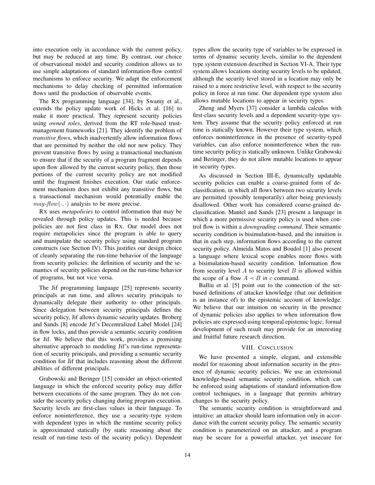into execution only in accordance with the current policy, but may be reduced at any time. By contrast, our choice of observational model and security condition allows us to use simple adaptations of standard information-flow control mechanisms to enforce security. We adapt the enforcement mechanisms to delay checking of permitted information flows until the production of observable events.

The RX programming language [34], by Swamy et al., extends the policy update work of Hicks et al. [16] to make it more practical. They represent security policies using *owned roles*, derived from the RT role-based trustmanagement frameworks [21]. They identify the problem of *transitive flows*, which inadvertently allow information flows that are permitted by neither the old nor new policy. They prevent transitive flows by using a transactional mechanism to ensure that if the security of a program fragment depends upon flow allowed by the current security policy, then those portions of the current security policy are not modified until the fragment finishes execution. Our static enforcement mechanism does not exhibit any transitive flows, but a transactional mechanism would potentially enable the  $may \text{-}flow(\cdot, \cdot)$  analysis to be more precise.

RX uses *metapolicies* to control information that may be revealed through policy updates. This is needed because policies are not first class in RX. Our model does not require metapolicies since the program is able to query and manipulate the security policy using standard program constructs (see Section IV). This justifies our design choice of cleanly separating the run-time behavior of the language from security policies: the definition of security and the semantics of security policies depend on the run-time behavior of programs, but not vice versa.

The Jif programming language [25] represents security principals at run time, and allows security principals to dynamically delegate their authority to other principals. Since delegation between security principals defines the security policy, Jif allows dynamic security updates. Broberg and Sands [8] encode Jif's Decentralized Label Model [24] in flow locks, and thus provide a semantic security condition for Jif. We believe that this work, provides a promising alternative approach to modeling Jif's run-time representation of security principals, and providing a semantic security condition for Jif that includes reasoning about the different abilities of different principals.

Grabowski and Beringer [15] consider an object-oriented language in which the enforced security policy may differ between executions of the same program. They do not consider the security policy changing during program execution. Security levels are first-class values in their language. To enforce noninterference, they use a security-type system with dependent types in which the runtime security policy is approximated statically (by static reasoning about the result of run-time tests of the security policy). Dependent types allow the security type of variables to be expressed in terms of dynamic security levels, similar to the dependent type system extension described in Section VI-A. Their type system allows locations storing security levels to be updated, although the security level stored in a location may only be raised to a more restrictive level, with respect to the security policy in force at run time. Our dependent type system also allows mutable locations to appear in security types.

Zheng and Myers [37] consider a lambda calculus with first-class security levels and a dependent security-type system. They assume that the security policy enforced at run time is statically known. However their type system, which enforces noninterference in the presence of security-typed variables, can also enforce noninterference when the runtime security policy is statically unknown. Unlike Grabowski and Beringer, they do not allow mutable locations to appear in security types.

As discussed in Section III-E, dynamically updatable security policies can enable a coarse-grained form of declassification, in which all flows between two security levels are permitted (possibly temporarily) after being previously disallowed. Other work has considered coarse-grained declassification. Mantel and Sands [23] present a language in which a more permissive security policy is used when control flow is within a *downgrading command*. Their semantic security condition is bisimulation-based, and the intuition is that in each step, information flows according to the current security policy. Almeida Matos and Boudol [1] also present a language where lexical scope enables more flows with a bisimulation-based security condition. Information flow from security level  $A$  to security level  $B$  is allowed within the scope of a flow  $A \prec B$  in c command.

Balliu et al. [5] point out to the connection of the setbased definitions of attacker knowledge (that our definition is an instance of) to the epistemic account of knowledge. We believe that our intuition on security in the presence of dynamic policies also applies to when information flow policies are expressed using temporal epistemic logic; formal development of such result may provide for an interesting and fruitful future research direction.

# VIII. CONCLUSION

We have presented a simple, elegant, and extensible model for reasoning about information security in the presence of dynamic security policies. We use an extensional knowledge-based semantic security condition, which can be enforced using adaptations of standard information-flow control techniques, in a language that permits arbitrary changes to the security policy.

The semantic security condition is straightforward and intuitive: an attacker should learn information only in accordance with the current security policy. The semantic security condition is parameterized on an attacker, and a program may be secure for a powerful attacker, yet insecure for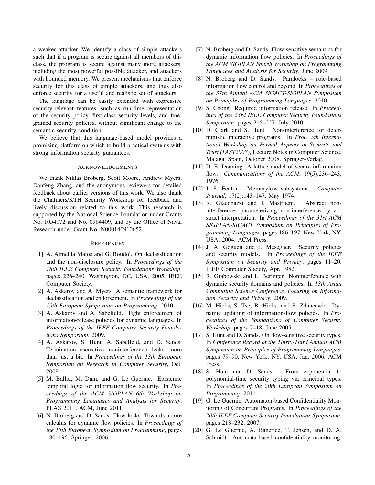a weaker attacker. We identify a class of simple attackers such that if a program is secure against all members of this class, the program is secure against many more attackers, including the most powerful possible attacker, and attackers with bounded memory. We present mechanisms that enforce security for this class of simple attackers, and thus also enforce security for a useful and realistic set of attackers.

The language can be easily extended with expressive security-relevant features, such as run-time representation of the security policy, first-class security levels, and finegrained security policies, without significant change to the semantic security condition.

We believe that this language-based model provides a promising platform on which to build practical systems with strong information security guarantees.

#### ACKNOWLEDGEMENTS

We thank Niklas Broberg, Scott Moore, Andrew Myers, Danfeng Zhang, and the anonymous reviewers for detailed feedback about earlier versions of this work. We also thank the Chalmers/KTH Security Workshop for feedback and lively discussion related to this work. This research is supported by the National Science Foundation under Grants No. 1054172 and No. 0964409, and by the Office of Naval Research under Grant No. N000140910652.

#### **REFERENCES**

- [1] A. Almeida Matos and G. Boudol. On declassification and the non-disclosure policy. In *Proceedings of the 18th IEEE Computer Security Foundations Workshop*, pages 226–240, Washington, DC, USA, 2005. IEEE Computer Society.
- [2] A. Askarov and A. Myers. A semantic framework for declassification and endorsement. In *Proceedings of the 19th European Symposium on Programming*, 2010.
- [3] A. Askarov and A. Sabelfeld. Tight enforcement of information-release policies for dynamic languages. In *Proceedings of the IEEE Computer Security Foundations Symposium*, 2009.
- [4] A. Askarov, S. Hunt, A. Sabelfeld, and D. Sands. Termination-insensitive noninterference leaks more than just a bit. In *Proceedings of the 13th European Symposium on Research in Computer Security*, Oct. 2008.
- [5] M. Balliu, M. Dam, and G. Le Guernic. Epistemic temporal logic for information flow security. In *Proceedings of the ACM SIGPLAN 6th Workshop on Programming Languages and Analysis for Security*, PLAS 2011. ACM, June 2011.
- [6] N. Broberg and D. Sands. Flow locks: Towards a core calculus for dynamic flow policies. In *Proceedings of the 15th European Symposium on Programming*, pages 180–196. Springer, 2006.
- [7] N. Broberg and D. Sands. Flow-sensitive semantics for dynamic information flow policies. In *Proceedings of the ACM SIGPLAN Fourth Workshop on Programming Languages and Analysis for Security*, June 2009.
- [8] N. Broberg and D. Sands. Paralocks role-based information flow control and beyond. In *Proceedings of the 37th Annual ACM SIGACT-SIGPLAN Symposium on Principles of Programming Languages*, 2010.
- [9] S. Chong. Required information release. In *Proceedings of the 23rd IEEE Computer Security Foundations Symposium*, pages 215–227, July 2010.
- [10] D. Clark and S. Hunt. Non-interference for deterministic interactive programs. In *Proc. 5th International Workshop on Formal Aspects in Security and Trust (FAST2008)*, Lecture Notes in Computer Science, Malaga, Spain, October 2008. Springer-Verlag.
- [11] D. E. Denning. A lattice model of secure information flow. *Communications of the ACM*, 19(5):236–243, 1976.
- [12] J. S. Fenton. Memoryless subsystems. *Computer Journal*, 17(2):143–147, May 1974.
- [13] R. Giacobazzi and I. Mastroeni. Abstract noninterference: parameterizing non-interference by abstract interpretation. In *Proceedings of the 31st ACM SIGPLAN-SIGACT Symposium on Principles of Programming Languages*, pages 186–197, New York, NY, USA, 2004. ACM Press.
- [14] J. A. Goguen and J. Meseguer. Security policies and security models. In *Proceedings of the IEEE Symposium on Security and Privacy*, pages 11–20. IEEE Computer Society, Apr. 1982.
- [15] R. Grabowski and L. Beringer. Noninterference with dynamic security domains and policies. In *13th Asian Computing Science Conference, Focusing on Information Security and Privacy*, 2009.
- [16] M. Hicks, S. Tse, B. Hicks, and S. Zdancewic. Dynamic updating of information-flow policies. In *Proceedings of the Foundations of Computer Security Workshop*, pages 7–18, June 2005.
- [17] S. Hunt and D. Sands. On flow-sensitive security types. In *Conference Record of the Thirty-Third Annual ACM Symposium on Principles of Programming Languages*, pages 79–90, New York, NY, USA, Jan. 2006. ACM Press.
- [18] S. Hunt and D. Sands. From exponential to polynomial-time security typing via principal types. In *Proceedings of the 20th European Symposium on Programming*, 2011.
- [19] G. Le Guernic. Automaton-based Confidentiality Monitoring of Concurrent Programs. In *Proceedings of the 20th IEEE Computer Security Foundations Symposium*, pages 218–232, 2007.
- [20] G. Le Guernic, A. Banerjee, T. Jensen, and D. A. Schmidt. Automata-based confidentiality monitoring.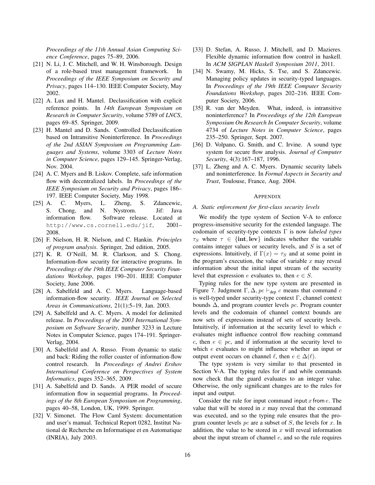*Proceedings of the 11th Annual Asian Computing Science Conference*, pages 75–89, 2006.

- [21] N. Li, J. C. Mitchell, and W. H. Winsborough. Design of a role-based trust management framework. In *Proceedings of the IEEE Symposium on Security and Privacy*, pages 114–130. IEEE Computer Society, May 2002.
- [22] A. Lux and H. Mantel. Declassification with explicit reference points. In *14th European Symposium on Research in Computer Security*, volume 5789 of *LNCS*, pages 69–85. Springer, 2009.
- [23] H. Mantel and D. Sands. Controlled Declassification based on Intransitive Noninterference. In *Proceedings of the 2nd ASIAN Symposium on Programming Languages and Systems*, volume 3303 of *Lecture Notes in Computer Science*, pages 129–145. Springer-Verlag, Nov. 2004.
- [24] A. C. Myers and B. Liskov. Complete, safe information flow with decentralized labels. In *Proceedings of the IEEE Symposium on Security and Privacy*, pages 186– 197. IEEE Computer Society, May 1998.
- [25] A. C. Myers, L. Zheng, S. Zdancewic, S. Chong, and N. Nystrom. Jif: Java information flow. Software release. Located at http://www.cs.cornell.edu/jif, 2001– 2008.
- [26] F. Nielson, H. R. Nielson, and C. Hankin. *Principles of program analysis*. Springer, 2nd edition, 2005.
- [27] K. R. O'Neill, M. R. Clarkson, and S. Chong. Information-flow security for interactive programs. In *Proceedings of the 19th IEEE Computer Security Foundations Workshop*, pages 190–201. IEEE Computer Society, June 2006.
- [28] A. Sabelfeld and A. C. Myers. Language-based information-flow security. *IEEE Journal on Selected Areas in Communications*, 21(1):5–19, Jan. 2003.
- [29] A. Sabelfeld and A. C. Myers. A model for delimited release. In *Proceedings of the 2003 International Symposium on Software Security*, number 3233 in Lecture Notes in Computer Science, pages 174–191. Springer-Verlag, 2004.
- [30] A. Sabelfeld and A. Russo. From dynamic to static and back: Riding the roller coaster of information-flow control research. In *Proceedings of Andrei Ershov International Conference on Perspectives of System Informatics*, pages 352–365, 2009.
- [31] A. Sabelfeld and D. Sands. A PER model of secure information flow in sequential programs. In *Proceedings of the 8th European Symposium on Programming*, pages 40–58, London, UK, 1999. Springer.
- [32] V. Simonet. The Flow Caml System: documentation and user's manual. Technical Report 0282, Institut National de Recherche en Informatique et en Automatique (INRIA), July 2003.
- [33] D. Stefan, A. Russo, J. Mitchell, and D. Mazieres. Flexible dynamic information flow control in haskell. In *ACM SIGPLAN Haskell Symposium 2011*, 2011.
- [34] N. Swamy, M. Hicks, S. Tse, and S. Zdancewic. Managing policy updates in security-typed languages. In *Proceedings of the 19th IEEE Computer Security Foundations Workshop*, pages 202–216. IEEE Computer Society, 2006.
- [35] R. van der Meyden. What, indeed, is intransitive noninterference? In *Proceedings of the 12th European Symposium On Research In Computer Security*, volume 4734 of *Lecture Notes in Computer Science*, pages 235–250. Springer, Sept. 2007.
- [36] D. Volpano, G. Smith, and C. Irvine. A sound type system for secure flow analysis. *Journal of Computer Security*, 4(3):167–187, 1996.
- [37] L. Zheng and A. C. Myers. Dynamic security labels and noninterference. In *Formal Aspects in Security and Trust*, Toulouse, France, Aug. 2004.

#### APPENDIX

# *A. Static enforcement for first-class security levels*

We modify the type system of Section V-A to enforce progress-insensitive security for the extended language. The codomain of security-type contexts Γ is now *labeled types*  $\tau_S$  where  $\tau \in \{\text{int}, \text{lev}\}\$  indicates whether the variable contains integer values or security levels, and  $S$  is a set of expressions. Intuitively, if  $\Gamma(x) = \tau_s$  and at some point in the program's execution, the value of variable  $x$  may reveal information about the initial input stream of the security level that expression e evaluates to, then  $e \in S$ .

Typing rules for the new type system are presented in Figure 7. Judgment  $\Gamma$ ,  $\Delta$ ,  $pc \vdash_{dep} c$  means that command c is well-typed under security-type context Γ, channel context bounds  $\Delta$ , and program counter levels pc. Program counter levels and the codomain of channel context bounds are now sets of expressions instead of sets of security levels. Intuitively, if information at the security level to which  $e$ evaluates might influence control flow reaching command c, then  $e \in pc$ , and if information at the security level to which  $e$  evaluates to might influence whether an input or output event occurs on channel  $\ell$ , then  $e \in \Delta(\ell)$ .

The type system is very similar to that presented in Section V-A. The typing rules for if and while commands now check that the guard evaluates to an integer value. Otherwise, the only significant changes are to the rules for input and output.

Consider the rule for input command input  $x$  from  $e$ . The value that will be stored in  $x$  may reveal that the command was executed, and so the typing rule ensures that the program counter levels pc are a subset of  $S$ , the levels for  $x$ . In addition, the value to be stored in  $x$  will reveal information about the input stream of channel  $e$ , and so the rule requires